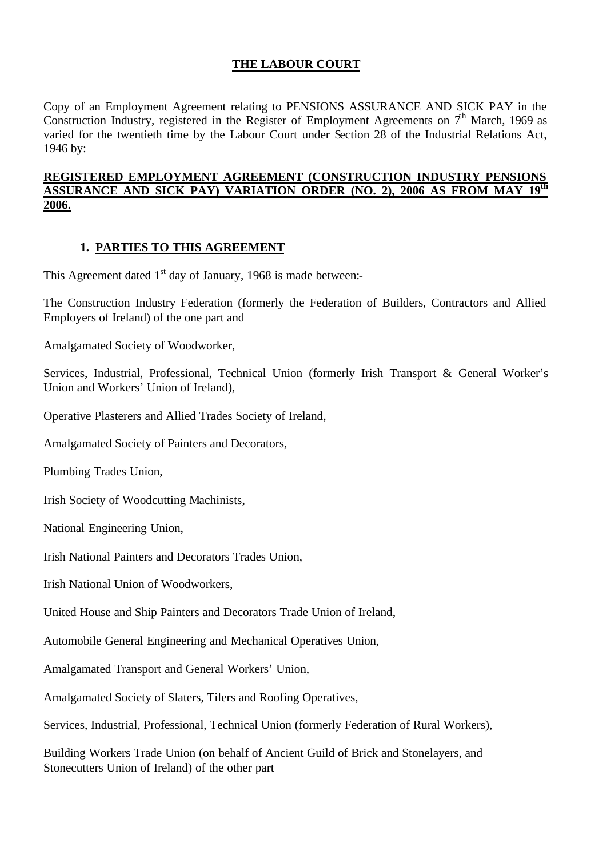# **THE LABOUR COURT**

Copy of an Employment Agreement relating to PENSIONS ASSURANCE AND SICK PAY in the Construction Industry, registered in the Register of Employment Agreements on  $7<sup>h</sup>$  March, 1969 as varied for the twentieth time by the Labour Court under Section 28 of the Industrial Relations Act, 1946 by:

## **REGISTERED EMPLOYMENT AGREEMENT (CONSTRUCTION INDUSTRY PENSIONS ASSURANCE AND SICK PAY) VARIATION ORDER (NO. 2), 2006 AS FROM MAY 19th 2006.**

## **1. PARTIES TO THIS AGREEMENT**

This Agreement dated  $1<sup>st</sup>$  day of January, 1968 is made between:-

The Construction Industry Federation (formerly the Federation of Builders, Contractors and Allied Employers of Ireland) of the one part and

Amalgamated Society of Woodworker,

Services, Industrial, Professional, Technical Union (formerly Irish Transport & General Worker's Union and Workers' Union of Ireland),

Operative Plasterers and Allied Trades Society of Ireland,

Amalgamated Society of Painters and Decorators,

Plumbing Trades Union,

Irish Society of Woodcutting Machinists,

National Engineering Union,

Irish National Painters and Decorators Trades Union,

Irish National Union of Woodworkers,

United House and Ship Painters and Decorators Trade Union of Ireland,

Automobile General Engineering and Mechanical Operatives Union,

Amalgamated Transport and General Workers' Union,

Amalgamated Society of Slaters, Tilers and Roofing Operatives,

Services, Industrial, Professional, Technical Union (formerly Federation of Rural Workers),

Building Workers Trade Union (on behalf of Ancient Guild of Brick and Stonelayers, and Stonecutters Union of Ireland) of the other part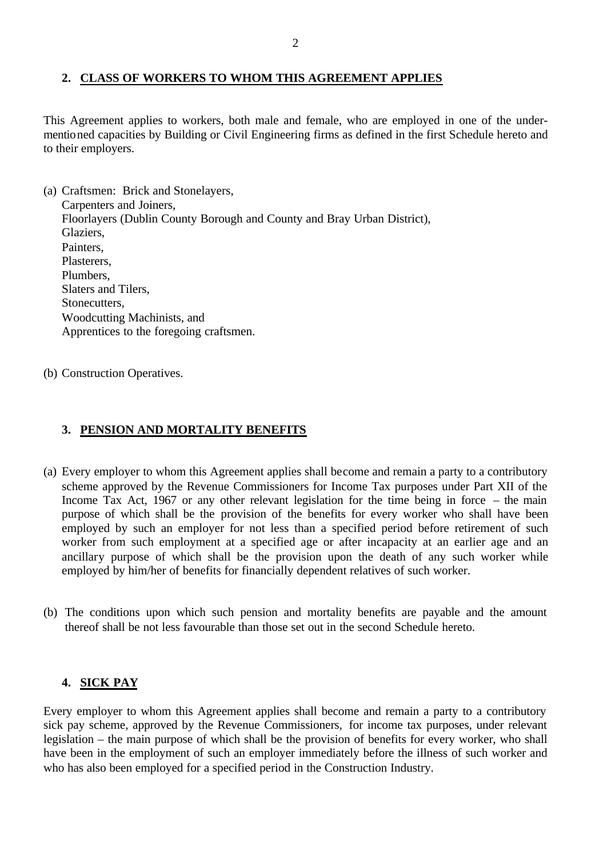## **2. CLASS OF WORKERS TO WHOM THIS AGREEMENT APPLIES**

This Agreement applies to workers, both male and female, who are employed in one of the undermentioned capacities by Building or Civil Engineering firms as defined in the first Schedule hereto and to their employers.

- (a) Craftsmen: Brick and Stonelayers, Carpenters and Joiners, Floorlayers (Dublin County Borough and County and Bray Urban District), Glaziers, Painters, Plasterers, Plumbers, Slaters and Tilers, Stonecutters, Woodcutting Machinists, and Apprentices to the foregoing craftsmen.
- (b) Construction Operatives.

### **3. PENSION AND MORTALITY BENEFITS**

- (a) Every employer to whom this Agreement applies shall become and remain a party to a contributory scheme approved by the Revenue Commissioners for Income Tax purposes under Part XII of the Income Tax Act, 1967 or any other relevant legislation for the time being in force – the main purpose of which shall be the provision of the benefits for every worker who shall have been employed by such an employer for not less than a specified period before retirement of such worker from such employment at a specified age or after incapacity at an earlier age and an ancillary purpose of which shall be the provision upon the death of any such worker while employed by him/her of benefits for financially dependent relatives of such worker.
- (b) The conditions upon which such pension and mortality benefits are payable and the amount thereof shall be not less favourable than those set out in the second Schedule hereto.

#### **4. SICK PAY**

Every employer to whom this Agreement applies shall become and remain a party to a contributory sick pay scheme, approved by the Revenue Commissioners, for income tax purposes, under relevant legislation – the main purpose of which shall be the provision of benefits for every worker, who shall have been in the employment of such an employer immediately before the illness of such worker and who has also been employed for a specified period in the Construction Industry.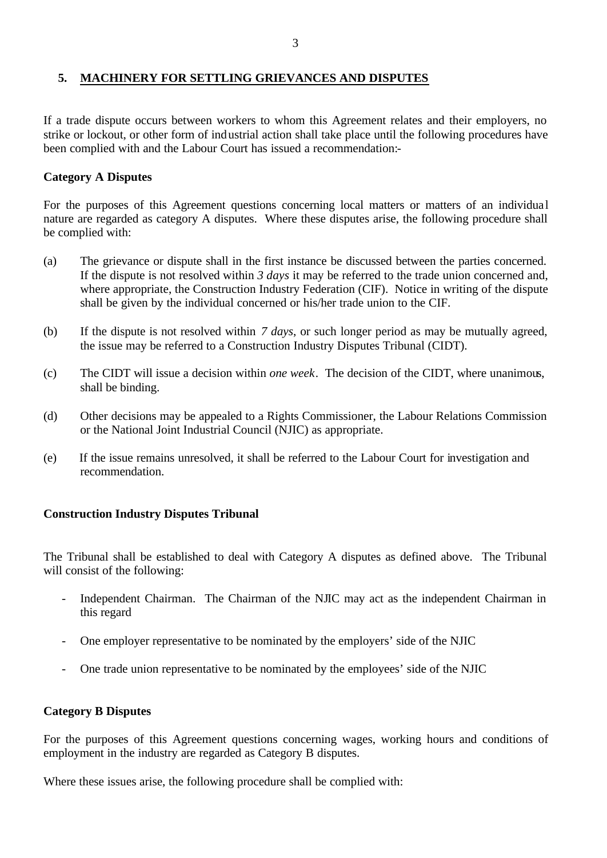## **5. MACHINERY FOR SETTLING GRIEVANCES AND DISPUTES**

If a trade dispute occurs between workers to whom this Agreement relates and their employers, no strike or lockout, or other form of industrial action shall take place until the following procedures have been complied with and the Labour Court has issued a recommendation:-

## **Category A Disputes**

For the purposes of this Agreement questions concerning local matters or matters of an individua l nature are regarded as category A disputes. Where these disputes arise, the following procedure shall be complied with:

- (a) The grievance or dispute shall in the first instance be discussed between the parties concerned. If the dispute is not resolved within *3 days* it may be referred to the trade union concerned and, where appropriate, the Construction Industry Federation (CIF). Notice in writing of the dispute shall be given by the individual concerned or his/her trade union to the CIF.
- (b) If the dispute is not resolved within *7 days*, or such longer period as may be mutually agreed, the issue may be referred to a Construction Industry Disputes Tribunal (CIDT).
- (c) The CIDT will issue a decision within *one week*. The decision of the CIDT, where unanimous, shall be binding.
- (d) Other decisions may be appealed to a Rights Commissioner, the Labour Relations Commission or the National Joint Industrial Council (NJIC) as appropriate.
- (e) If the issue remains unresolved, it shall be referred to the Labour Court for investigation and recommendation.

## **Construction Industry Disputes Tribunal**

The Tribunal shall be established to deal with Category A disputes as defined above. The Tribunal will consist of the following:

- Independent Chairman. The Chairman of the NJIC may act as the independent Chairman in this regard
- One employer representative to be nominated by the employers' side of the NJIC
- One trade union representative to be nominated by the employees' side of the NJIC

#### **Category B Disputes**

For the purposes of this Agreement questions concerning wages, working hours and conditions of employment in the industry are regarded as Category B disputes.

Where these issues arise, the following procedure shall be complied with: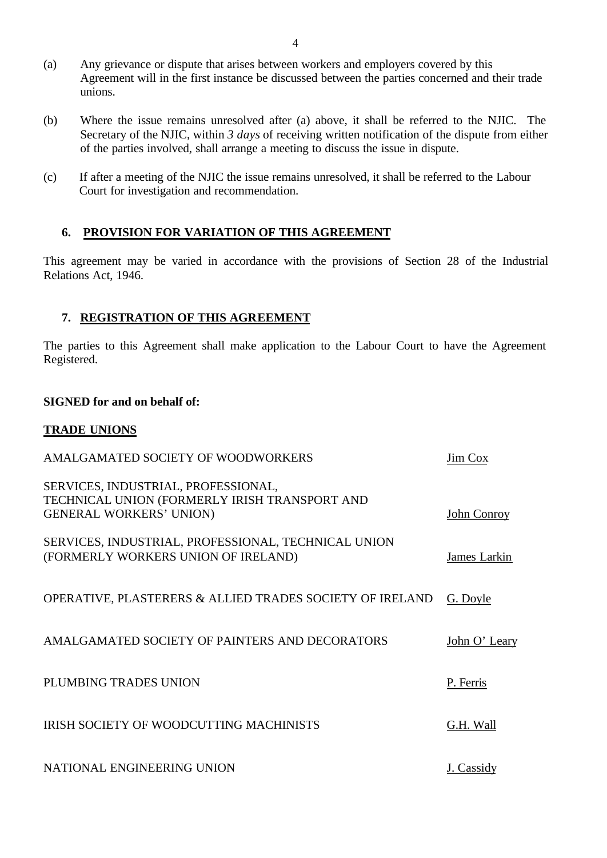- (a) Any grievance or dispute that arises between workers and employers covered by this Agreement will in the first instance be discussed between the parties concerned and their trade unions.
- (b) Where the issue remains unresolved after (a) above, it shall be referred to the NJIC. The Secretary of the NJIC, within *3 days* of receiving written notification of the dispute from either of the parties involved, shall arrange a meeting to discuss the issue in dispute.
- (c) If after a meeting of the NJIC the issue remains unresolved, it shall be referred to the Labour Court for investigation and recommendation.

## **6. PROVISION FOR VARIATION OF THIS AGREEMENT**

This agreement may be varied in accordance with the provisions of Section 28 of the Industrial Relations Act, 1946.

#### **7. REGISTRATION OF THIS AGREEMENT**

The parties to this Agreement shall make application to the Labour Court to have the Agreement Registered.

#### **SIGNED for and on behalf of:**

#### **TRADE UNIONS**

| AMALGAMATED SOCIETY OF WOODWORKERS                                                                                     | <b>Jim Cox</b> |
|------------------------------------------------------------------------------------------------------------------------|----------------|
| SERVICES, INDUSTRIAL, PROFESSIONAL,<br>TECHNICAL UNION (FORMERLY IRISH TRANSPORT AND<br><b>GENERAL WORKERS' UNION)</b> | John Conroy    |
| SERVICES, INDUSTRIAL, PROFESSIONAL, TECHNICAL UNION<br>(FORMERLY WORKERS UNION OF IRELAND)                             | James Larkin   |
| OPERATIVE, PLASTERERS & ALLIED TRADES SOCIETY OF IRELAND                                                               | G. Doyle       |
| AMALGAMATED SOCIETY OF PAINTERS AND DECORATORS                                                                         | John O' Leary  |
| PLUMBING TRADES UNION                                                                                                  | P. Ferris      |
| <b>IRISH SOCIETY OF WOODCUTTING MACHINISTS</b>                                                                         | G.H. Wall      |
| NATIONAL ENGINEERING UNION                                                                                             | J. Cassidy     |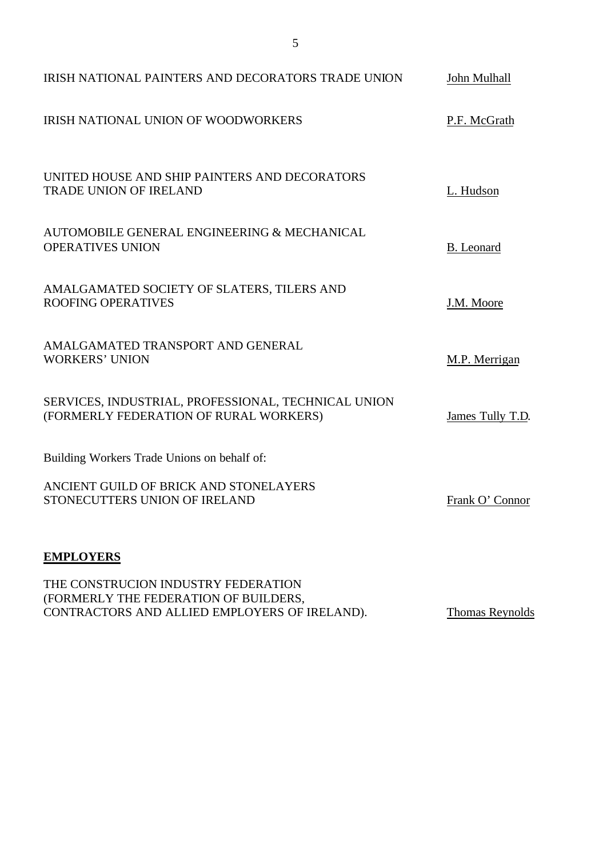| IRISH NATIONAL PAINTERS AND DECORATORS TRADE UNION                                            | John Mulhall     |
|-----------------------------------------------------------------------------------------------|------------------|
| <b>IRISH NATIONAL UNION OF WOODWORKERS</b>                                                    | P.F. McGrath     |
| UNITED HOUSE AND SHIP PAINTERS AND DECORATORS<br><b>TRADE UNION OF IRELAND</b>                | L. Hudson        |
| AUTOMOBILE GENERAL ENGINEERING & MECHANICAL<br><b>OPERATIVES UNION</b>                        | B. Leonard       |
| AMALGAMATED SOCIETY OF SLATERS, TILERS AND<br><b>ROOFING OPERATIVES</b>                       | J.M. Moore       |
| AMALGAMATED TRANSPORT AND GENERAL<br><b>WORKERS' UNION</b>                                    | M.P. Merrigan    |
| SERVICES, INDUSTRIAL, PROFESSIONAL, TECHNICAL UNION<br>(FORMERLY FEDERATION OF RURAL WORKERS) | James Tully T.D. |
| Building Workers Trade Unions on behalf of:                                                   |                  |
| ANCIENT GUILD OF BRICK AND STONELAYERS<br>STONECUTTERS UNION OF IRELAND                       | Frank O' Connor  |
| <b>EMPLOYERS</b>                                                                              |                  |

THE CONSTRUCION INDUSTRY FEDERATION (FORMERLY THE FEDERATION OF BUILDERS, CONTRACTORS AND ALLIED EMPLOYERS OF IRELAND). Thomas Reynolds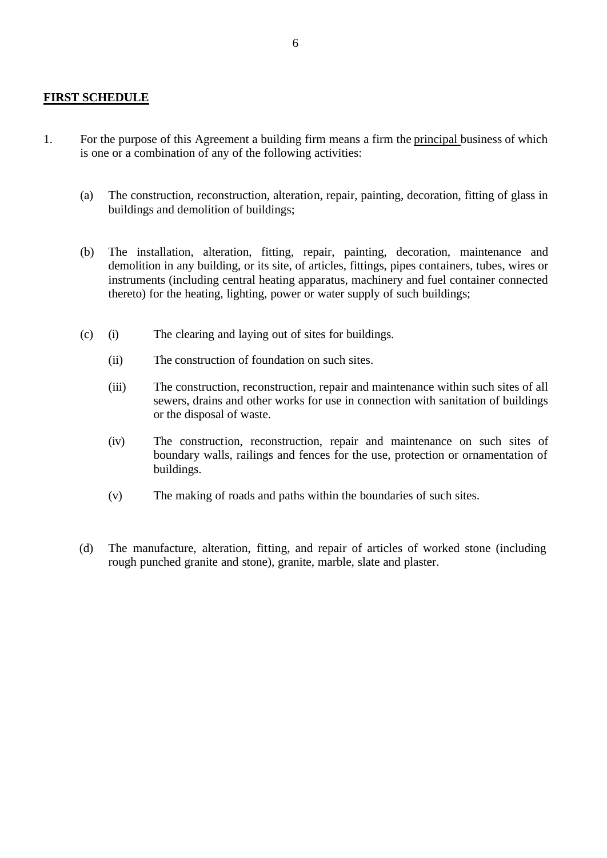#### **FIRST SCHEDULE**

- 1. For the purpose of this Agreement a building firm means a firm the principal business of which is one or a combination of any of the following activities:
	- (a) The construction, reconstruction, alteration, repair, painting, decoration, fitting of glass in buildings and demolition of buildings;
	- (b) The installation, alteration, fitting, repair, painting, decoration, maintenance and demolition in any building, or its site, of articles, fittings, pipes containers, tubes, wires or instruments (including central heating apparatus, machinery and fuel container connected thereto) for the heating, lighting, power or water supply of such buildings;
	- (c) (i) The clearing and laying out of sites for buildings.
		- (ii) The construction of foundation on such sites.
		- (iii) The construction, reconstruction, repair and maintenance within such sites of all sewers, drains and other works for use in connection with sanitation of buildings or the disposal of waste.
		- (iv) The construction, reconstruction, repair and maintenance on such sites of boundary walls, railings and fences for the use, protection or ornamentation of buildings.
		- (v) The making of roads and paths within the boundaries of such sites.
	- (d) The manufacture, alteration, fitting, and repair of articles of worked stone (including rough punched granite and stone), granite, marble, slate and plaster.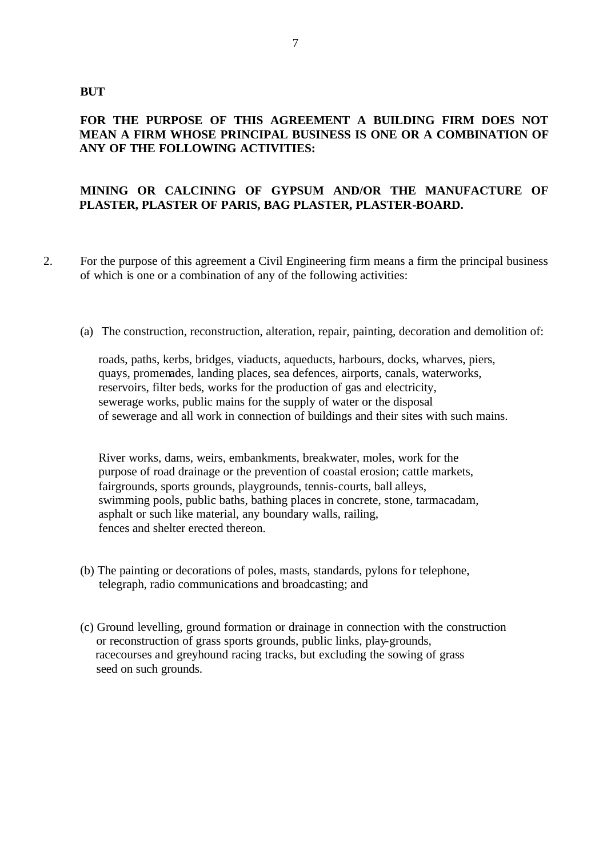#### **BUT**

## **FOR THE PURPOSE OF THIS AGREEMENT A BUILDING FIRM DOES NOT MEAN A FIRM WHOSE PRINCIPAL BUSINESS IS ONE OR A COMBINATION OF ANY OF THE FOLLOWING ACTIVITIES:**

## **MINING OR CALCINING OF GYPSUM AND/OR THE MANUFACTURE OF PLASTER, PLASTER OF PARIS, BAG PLASTER, PLASTER-BOARD.**

- 2. For the purpose of this agreement a Civil Engineering firm means a firm the principal business of which is one or a combination of any of the following activities:
	- (a) The construction, reconstruction, alteration, repair, painting, decoration and demolition of:

roads, paths, kerbs, bridges, viaducts, aqueducts, harbours, docks, wharves, piers, quays, promenades, landing places, sea defences, airports, canals, waterworks, reservoirs, filter beds, works for the production of gas and electricity, sewerage works, public mains for the supply of water or the disposal of sewerage and all work in connection of buildings and their sites with such mains.

River works, dams, weirs, embankments, breakwater, moles, work for the purpose of road drainage or the prevention of coastal erosion; cattle markets, fairgrounds, sports grounds, playgrounds, tennis-courts, ball alleys, swimming pools, public baths, bathing places in concrete, stone, tarmacadam, asphalt or such like material, any boundary walls, railing, fences and shelter erected thereon.

- (b) The painting or decorations of poles, masts, standards, pylons for telephone, telegraph, radio communications and broadcasting; and
- (c) Ground levelling, ground formation or drainage in connection with the construction or reconstruction of grass sports grounds, public links, play-grounds, racecourses and greyhound racing tracks, but excluding the sowing of grass seed on such grounds.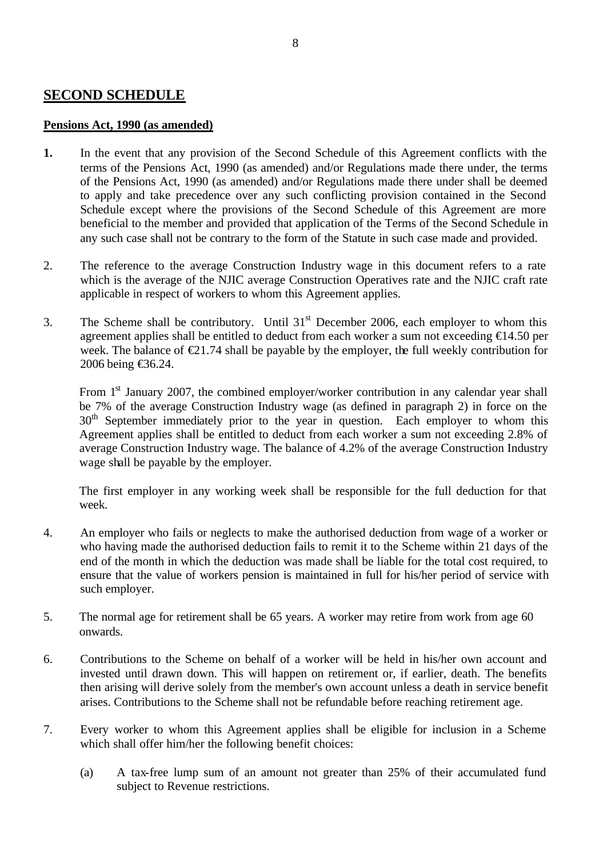## **SECOND SCHEDULE**

#### **Pensions Act, 1990 (as amended)**

- **1.** In the event that any provision of the Second Schedule of this Agreement conflicts with the terms of the Pensions Act, 1990 (as amended) and/or Regulations made there under, the terms of the Pensions Act, 1990 (as amended) and/or Regulations made there under shall be deemed to apply and take precedence over any such conflicting provision contained in the Second Schedule except where the provisions of the Second Schedule of this Agreement are more beneficial to the member and provided that application of the Terms of the Second Schedule in any such case shall not be contrary to the form of the Statute in such case made and provided.
- 2. The reference to the average Construction Industry wage in this document refers to a rate which is the average of the NJIC average Construction Operatives rate and the NJIC craft rate applicable in respect of workers to whom this Agreement applies.
- 3. The Scheme shall be contributory. Until  $31<sup>st</sup>$  December 2006, each employer to whom this agreement applies shall be entitled to deduct from each worker a sum not exceeding €14.50 per week. The balance of  $\epsilon 21.74$  shall be payable by the employer, the full weekly contribution for 2006 being €36.24.

From 1<sup>st</sup> January 2007, the combined employer/worker contribution in any calendar year shall be 7% of the average Construction Industry wage (as defined in paragraph 2) in force on the 30<sup>th</sup> September immediately prior to the year in question. Each employer to whom this Agreement applies shall be entitled to deduct from each worker a sum not exceeding 2.8% of average Construction Industry wage. The balance of 4.2% of the average Construction Industry wage shall be payable by the employer.

The first employer in any working week shall be responsible for the full deduction for that week.

- 4. An employer who fails or neglects to make the authorised deduction from wage of a worker or who having made the authorised deduction fails to remit it to the Scheme within 21 days of the end of the month in which the deduction was made shall be liable for the total cost required, to ensure that the value of workers pension is maintained in full for his/her period of service with such employer.
- 5. The normal age for retirement shall be 65 years. A worker may retire from work from age 60 onwards.
- 6. Contributions to the Scheme on behalf of a worker will be held in his/her own account and invested until drawn down. This will happen on retirement or, if earlier, death. The benefits then arising will derive solely from the member's own account unless a death in service benefit arises. Contributions to the Scheme shall not be refundable before reaching retirement age.
- 7. Every worker to whom this Agreement applies shall be eligible for inclusion in a Scheme which shall offer him/her the following benefit choices:
	- (a) A tax-free lump sum of an amount not greater than 25% of their accumulated fund subject to Revenue restrictions.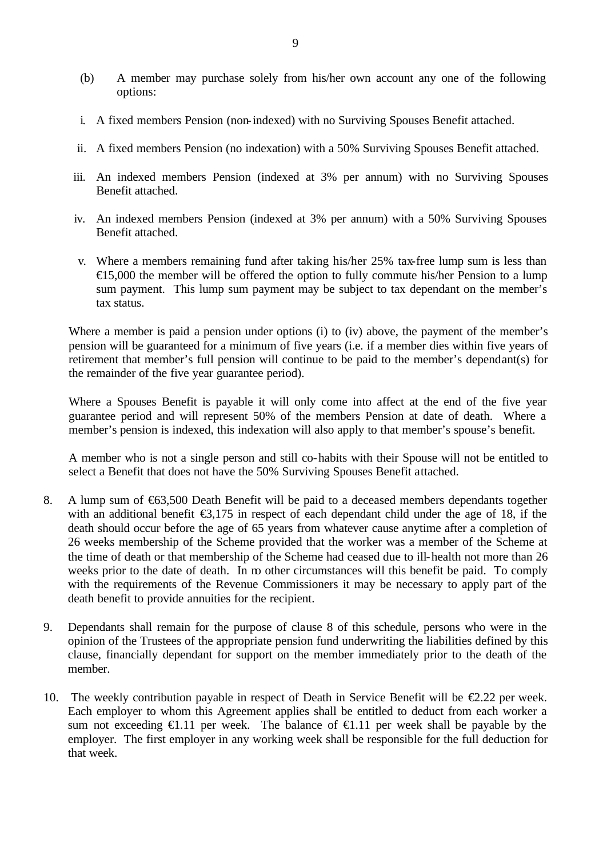- (b) A member may purchase solely from his/her own account any one of the following options:
- i. A fixed members Pension (non-indexed) with no Surviving Spouses Benefit attached.
- ii. A fixed members Pension (no indexation) with a 50% Surviving Spouses Benefit attached.
- iii. An indexed members Pension (indexed at 3% per annum) with no Surviving Spouses Benefit attached.
- iv. An indexed members Pension (indexed at 3% per annum) with a 50% Surviving Spouses Benefit attached.
- v. Where a members remaining fund after taking his/her 25% tax-free lump sum is less than  $\epsilon$ 15,000 the member will be offered the option to fully commute his/her Pension to a lump sum payment. This lump sum payment may be subject to tax dependant on the member's tax status.

Where a member is paid a pension under options (i) to (iv) above, the payment of the member's pension will be guaranteed for a minimum of five years (i.e. if a member dies within five years of retirement that member's full pension will continue to be paid to the member's dependant(s) for the remainder of the five year guarantee period).

Where a Spouses Benefit is payable it will only come into affect at the end of the five year guarantee period and will represent 50% of the members Pension at date of death. Where a member's pension is indexed, this indexation will also apply to that member's spouse's benefit.

A member who is not a single person and still co-habits with their Spouse will not be entitled to select a Benefit that does not have the 50% Surviving Spouses Benefit attached.

- 8. A lump sum of €63,500 Death Benefit will be paid to a deceased members dependants together with an additional benefit  $\epsilon$ 3,175 in respect of each dependant child under the age of 18, if the death should occur before the age of 65 years from whatever cause anytime after a completion of 26 weeks membership of the Scheme provided that the worker was a member of the Scheme at the time of death or that membership of the Scheme had ceased due to ill-health not more than 26 weeks prior to the date of death. In no other circumstances will this benefit be paid. To comply with the requirements of the Revenue Commissioners it may be necessary to apply part of the death benefit to provide annuities for the recipient.
- 9. Dependants shall remain for the purpose of clause 8 of this schedule, persons who were in the opinion of the Trustees of the appropriate pension fund underwriting the liabilities defined by this clause, financially dependant for support on the member immediately prior to the death of the member.
- 10. The weekly contribution payable in respect of Death in Service Benefit will be  $\epsilon 2.22$  per week. Each employer to whom this Agreement applies shall be entitled to deduct from each worker a sum not exceeding  $\bigoplus$ .11 per week. The balance of  $\bigoplus$ .11 per week shall be payable by the employer. The first employer in any working week shall be responsible for the full deduction for that week.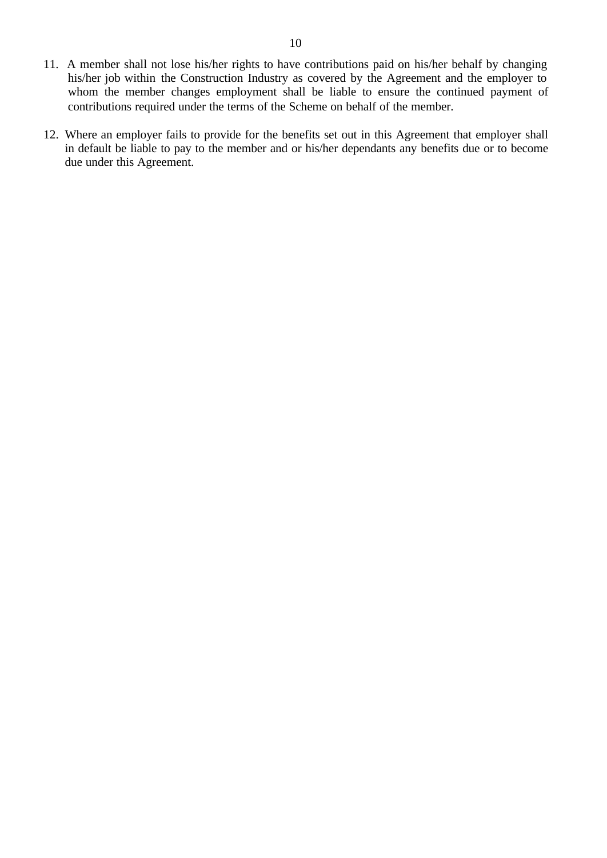- 11. A member shall not lose his/her rights to have contributions paid on his/her behalf by changing his/her job within the Construction Industry as covered by the Agreement and the employer to whom the member changes employment shall be liable to ensure the continued payment of contributions required under the terms of the Scheme on behalf of the member.
- 12. Where an employer fails to provide for the benefits set out in this Agreement that employer shall in default be liable to pay to the member and or his/her dependants any benefits due or to become due under this Agreement.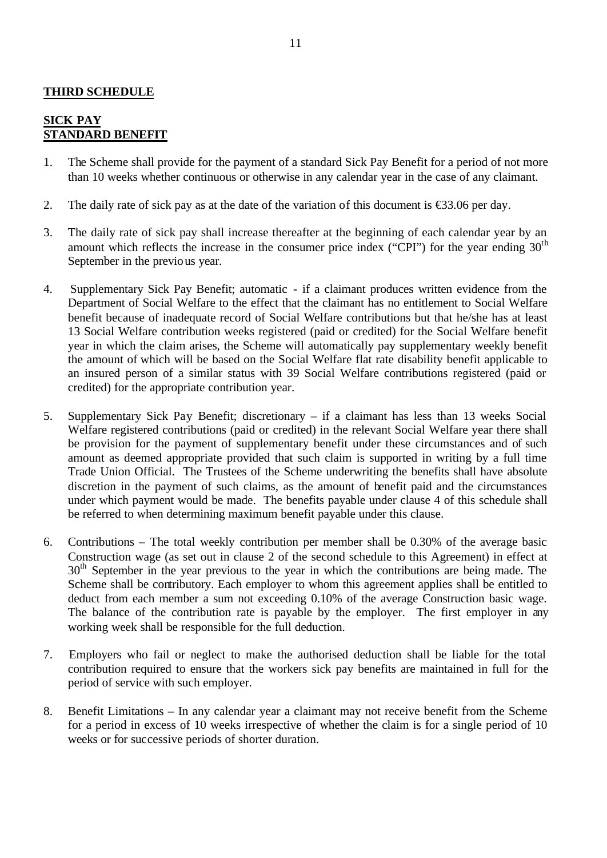## **THIRD SCHEDULE**

### **SICK PAY STANDARD BENEFIT**

- 1. The Scheme shall provide for the payment of a standard Sick Pay Benefit for a period of not more than 10 weeks whether continuous or otherwise in any calendar year in the case of any claimant.
- 2. The daily rate of sick pay as at the date of the variation of this document is  $\epsilon$ 3.06 per day.
- 3. The daily rate of sick pay shall increase thereafter at the beginning of each calendar year by an amount which reflects the increase in the consumer price index ("CPI") for the year ending  $30<sup>th</sup>$ September in the previous year.
- 4. Supplementary Sick Pay Benefit; automatic if a claimant produces written evidence from the Department of Social Welfare to the effect that the claimant has no entitlement to Social Welfare benefit because of inadequate record of Social Welfare contributions but that he/she has at least 13 Social Welfare contribution weeks registered (paid or credited) for the Social Welfare benefit year in which the claim arises, the Scheme will automatically pay supplementary weekly benefit the amount of which will be based on the Social Welfare flat rate disability benefit applicable to an insured person of a similar status with 39 Social Welfare contributions registered (paid or credited) for the appropriate contribution year.
- 5. Supplementary Sick Pay Benefit; discretionary if a claimant has less than 13 weeks Social Welfare registered contributions (paid or credited) in the relevant Social Welfare year there shall be provision for the payment of supplementary benefit under these circumstances and of such amount as deemed appropriate provided that such claim is supported in writing by a full time Trade Union Official. The Trustees of the Scheme underwriting the benefits shall have absolute discretion in the payment of such claims, as the amount of benefit paid and the circumstances under which payment would be made. The benefits payable under clause 4 of this schedule shall be referred to when determining maximum benefit payable under this clause.
- 6. Contributions The total weekly contribution per member shall be 0.30% of the average basic Construction wage (as set out in clause 2 of the second schedule to this Agreement) in effect at  $30<sup>th</sup>$  September in the year previous to the year in which the contributions are being made. The Scheme shall be contributory. Each employer to whom this agreement applies shall be entitled to deduct from each member a sum not exceeding 0.10% of the average Construction basic wage. The balance of the contribution rate is payable by the employer. The first employer in any working week shall be responsible for the full deduction.
- 7. Employers who fail or neglect to make the authorised deduction shall be liable for the total contribution required to ensure that the workers sick pay benefits are maintained in full for the period of service with such employer.
- 8. Benefit Limitations In any calendar year a claimant may not receive benefit from the Scheme for a period in excess of 10 weeks irrespective of whether the claim is for a single period of 10 weeks or for successive periods of shorter duration.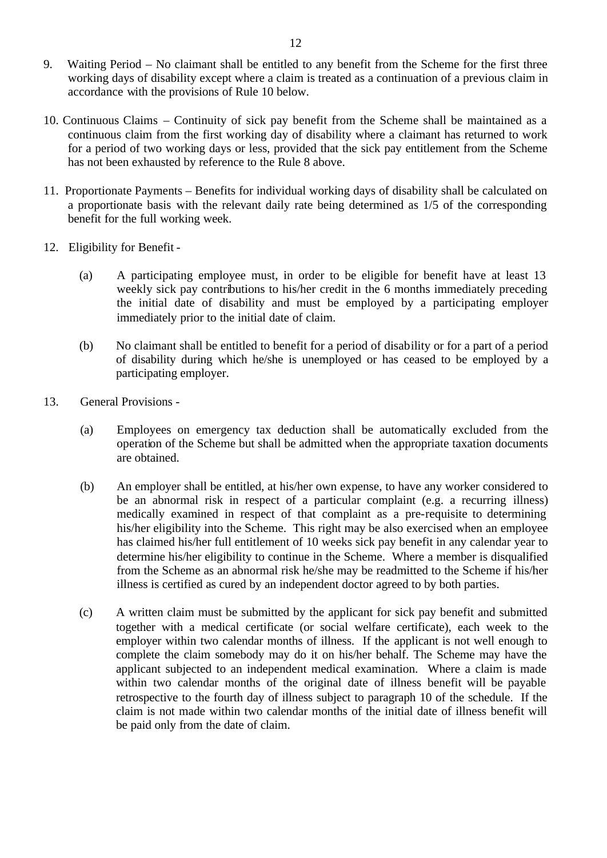- 9. Waiting Period No claimant shall be entitled to any benefit from the Scheme for the first three working days of disability except where a claim is treated as a continuation of a previous claim in accordance with the provisions of Rule 10 below.
- 10. Continuous Claims Continuity of sick pay benefit from the Scheme shall be maintained as a continuous claim from the first working day of disability where a claimant has returned to work for a period of two working days or less, provided that the sick pay entitlement from the Scheme has not been exhausted by reference to the Rule 8 above.
- 11. Proportionate Payments Benefits for individual working days of disability shall be calculated on a proportionate basis with the relevant daily rate being determined as 1/5 of the corresponding benefit for the full working week.
- 12. Eligibility for Benefit
	- (a) A participating employee must, in order to be eligible for benefit have at least 13 weekly sick pay contributions to his/her credit in the 6 months immediately preceding the initial date of disability and must be employed by a participating employer immediately prior to the initial date of claim.
	- (b) No claimant shall be entitled to benefit for a period of disability or for a part of a period of disability during which he/she is unemployed or has ceased to be employed by a participating employer.
- 13. General Provisions
	- (a) Employees on emergency tax deduction shall be automatically excluded from the operation of the Scheme but shall be admitted when the appropriate taxation documents are obtained.
	- (b) An employer shall be entitled, at his/her own expense, to have any worker considered to be an abnormal risk in respect of a particular complaint (e.g. a recurring illness) medically examined in respect of that complaint as a pre-requisite to determining his/her eligibility into the Scheme. This right may be also exercised when an employee has claimed his/her full entitlement of 10 weeks sick pay benefit in any calendar year to determine his/her eligibility to continue in the Scheme. Where a member is disqualified from the Scheme as an abnormal risk he/she may be readmitted to the Scheme if his/her illness is certified as cured by an independent doctor agreed to by both parties.
	- (c) A written claim must be submitted by the applicant for sick pay benefit and submitted together with a medical certificate (or social welfare certificate), each week to the employer within two calendar months of illness. If the applicant is not well enough to complete the claim somebody may do it on his/her behalf. The Scheme may have the applicant subjected to an independent medical examination. Where a claim is made within two calendar months of the original date of illness benefit will be payable retrospective to the fourth day of illness subject to paragraph 10 of the schedule. If the claim is not made within two calendar months of the initial date of illness benefit will be paid only from the date of claim.